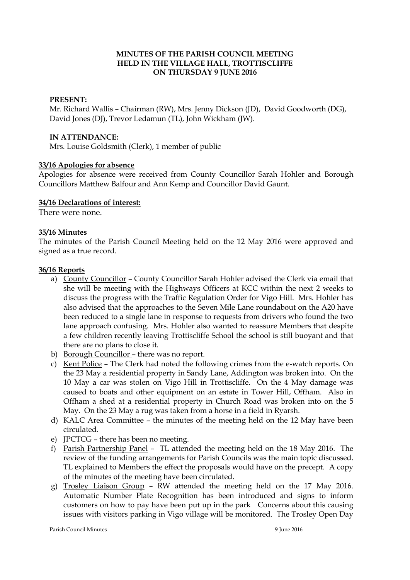# **MINUTES OF THE PARISH COUNCIL MEETING HELD IN THE VILLAGE HALL, TROTTISCLIFFE ON THURSDAY 9 JUNE 2016**

## **PRESENT:**

Mr. Richard Wallis – Chairman (RW), Mrs. Jenny Dickson (JD), David Goodworth (DG), David Jones (DJ), Trevor Ledamun (TL), John Wickham (JW).

#### **IN ATTENDANCE:**

Mrs. Louise Goldsmith (Clerk), 1 member of public

## **33/16 Apologies for absence**

Apologies for absence were received from County Councillor Sarah Hohler and Borough Councillors Matthew Balfour and Ann Kemp and Councillor David Gaunt.

## **34/16 Declarations of interest:**

There were none.

## **35/16 Minutes**

The minutes of the Parish Council Meeting held on the 12 May 2016 were approved and signed as a true record.

## **36/16 Reports**

- a) County Councillor County Councillor Sarah Hohler advised the Clerk via email that she will be meeting with the Highways Officers at KCC within the next 2 weeks to discuss the progress with the Traffic Regulation Order for Vigo Hill. Mrs. Hohler has also advised that the approaches to the Seven Mile Lane roundabout on the A20 have been reduced to a single lane in response to requests from drivers who found the two lane approach confusing. Mrs. Hohler also wanted to reassure Members that despite a few children recently leaving Trottiscliffe School the school is still buoyant and that there are no plans to close it.
- b) Borough Councillor there was no report.
- c) Kent Police The Clerk had noted the following crimes from the e-watch reports. On the 23 May a residential property in Sandy Lane, Addington was broken into. On the 10 May a car was stolen on Vigo Hill in Trottiscliffe. On the 4 May damage was caused to boats and other equipment on an estate in Tower Hill, Offham. Also in Offham a shed at a residential property in Church Road was broken into on the 5 May. On the 23 May a rug was taken from a horse in a field in Ryarsh.
- d) KALC Area Committee the minutes of the meeting held on the 12 May have been circulated.
- e) JPCTCG there has been no meeting.
- f) Parish Partnership Panel TL attended the meeting held on the 18 May 2016. The review of the funding arrangements for Parish Councils was the main topic discussed. TL explained to Members the effect the proposals would have on the precept. A copy of the minutes of the meeting have been circulated.
- g) Trosley Liaison Group RW attended the meeting held on the 17 May 2016. Automatic Number Plate Recognition has been introduced and signs to inform customers on how to pay have been put up in the park Concerns about this causing issues with visitors parking in Vigo village will be monitored. The Trosley Open Day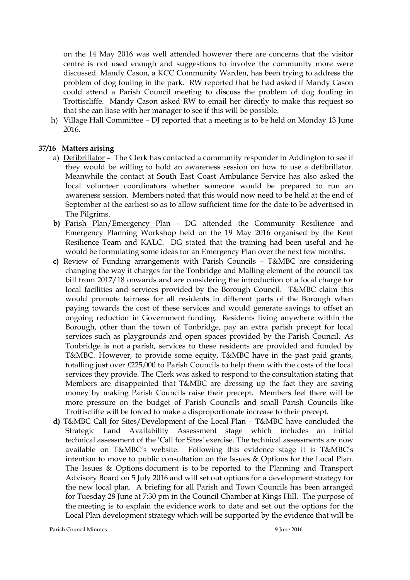on the 14 May 2016 was well attended however there are concerns that the visitor centre is not used enough and suggestions to involve the community more were discussed. Mandy Cason, a KCC Community Warden, has been trying to address the problem of dog fouling in the park. RW reported that he had asked if Mandy Cason could attend a Parish Council meeting to discuss the problem of dog fouling in Trottiscliffe. Mandy Cason asked RW to email her directly to make this request so that she can liase with her manager to see if this will be possible.

h) Village Hall Committee – DJ reported that a meeting is to be held on Monday 13 June 2016.

# **37/16 Matters arising**

- a) Defibrillator The Clerk has contacted a community responder in Addington to see if they would be willing to hold an awareness session on how to use a defibrillator. Meanwhile the contact at South East Coast Ambulance Service has also asked the local volunteer coordinators whether someone would be prepared to run an awareness session. Members noted that this would now need to be held at the end of September at the earliest so as to allow sufficient time for the date to be advertised in The Pilgrims.
- **b)** Parish Plan/Emergency Plan DG attended the Community Resilience and Emergency Planning Workshop held on the 19 May 2016 organised by the Kent Resilience Team and KALC. DG stated that the training had been useful and he would be formulating some ideas for an Emergency Plan over the next few months.
- **c)** Review of Funding arrangements with Parish Councils T&MBC are considering changing the way it charges for the Tonbridge and Malling element of the council tax bill from 2017/18 onwards and are considering the introduction of a local charge for local facilities and services provided by the Borough Council. T&MBC claim this would promote fairness for all residents in different parts of the Borough when paying towards the cost of these services and would generate savings to offset an ongoing reduction in Government funding. Residents living anywhere within the Borough, other than the town of Tonbridge, pay an extra parish precept for local services such as playgrounds and open spaces provided by the Parish Council. As Tonbridge is not a parish, services to these residents are provided and funded by T&MBC. However, to provide some equity, T&MBC have in the past paid grants, totalling just over £225,000 to Parish Councils to help them with the costs of the local services they provide. The Clerk was asked to respond to the consultation stating that Members are disappointed that T&MBC are dressing up the fact they are saving money by making Parish Councils raise their precept. Members feel there will be more pressure on the budget of Parish Councils and small Parish Councils like Trottiscliffe will be forced to make a disproportionate increase to their precept.
- **d)** T&MBC Call for Sites/Development of the Local Plan T&MBC have concluded the Strategic Land Availability Assessment stage which includes an initial technical assessment of the 'Call for Sites' exercise. The technical assessments are now available on T&MBC's website. Following this evidence stage it is T&MBC's intention to move to public consultation on the Issues & Options for the Local Plan. The Issues & Options document is to be reported to the Planning and Transport Advisory Board on 5 July 2016 and will set out options for a development strategy for the new local plan. A briefing for all Parish and Town Councils has been arranged for Tuesday 28 June at 7:30 pm in the Council Chamber at Kings Hill. The purpose of the meeting is to explain the evidence work to date and set out the options for the Local Plan development strategy which will be supported by the evidence that will be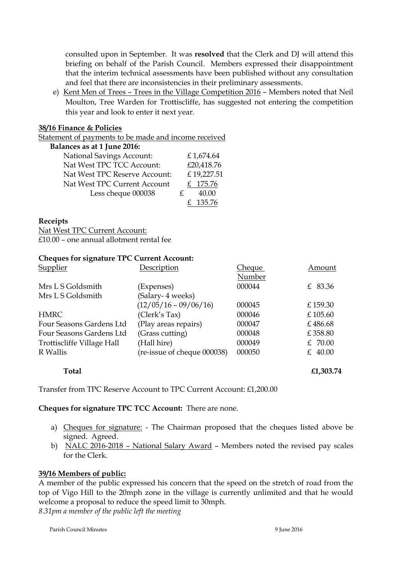consulted upon in September. It was **resolved** that the Clerk and DJ will attend this briefing on behalf of the Parish Council. Members expressed their disappointment that the interim technical assessments have been published without any consultation and feel that there are inconsistencies in their preliminary assessments.

e) Kent Men of Trees – Trees in the Village Competition 2016 – Members noted that Neil Moulton, Tree Warden for Trottiscliffe, has suggested not entering the competition this year and look to enter it next year.

#### **38/16 Finance & Policies**

Statement of payments to be made and income received

| Balances as at 1 June 2016:      |            |  |
|----------------------------------|------------|--|
| <b>National Savings Account:</b> | £1,674.64  |  |
| Nat West TPC TCC Account:        | £20,418.76 |  |
| Nat West TPC Reserve Account:    | £19,227.51 |  |
| Nat West TPC Current Account     | £ 175.76   |  |
| Less cheque 000038               | 40.00      |  |
|                                  | 135.76     |  |

# **Receipts**

Nat West TPC Current Account: £10.00 – one annual allotment rental fee

## **Cheques for signature TPC Current Account:**

| Description                 | <b>Cheque</b> | Amount      |
|-----------------------------|---------------|-------------|
|                             | Number        |             |
| (Expenses)                  | 000044        | £ 83.36     |
| (Salary-4 weeks)            |               |             |
| $(12/05/16 - 09/06/16)$     | 000045        | £159.30     |
| (Clerk's Tax)               | 000046        | £105.60     |
| (Play areas repairs)        | 000047        | £486.68     |
| (Grass cutting)             | 000048        | £358.80     |
| (Hall hire)                 | 000049        | £ 70.00     |
| (re-issue of cheque 000038) | 000050        | 40.00<br>£. |
|                             |               |             |

**Total £1,303.74**

Transfer from TPC Reserve Account to TPC Current Account: £1,200.00

# **Cheques for signature TPC TCC Account:** There are none.

- a) Cheques for signature: The Chairman proposed that the cheques listed above be signed. Agreed.
- b) NALC 2016-2018 National Salary Award Members noted the revised pay scales for the Clerk.

# **39/16 Members of public:**

A member of the public expressed his concern that the speed on the stretch of road from the top of Vigo Hill to the 20mph zone in the village is currently unlimited and that he would welcome a proposal to reduce the speed limit to 30mph. *8.31pm a member of the public left the meeting*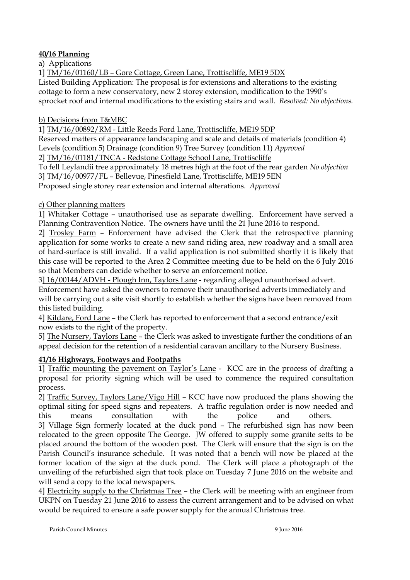# **40/16 Planning**

a) Applications

1] TM/16/01160/LB – Gore Cottage, Green Lane, Trottiscliffe, ME19 5DX

Listed Building Application: The proposal is for extensions and alterations to the existing cottage to form a new conservatory, new 2 storey extension, modification to the 1990's sprocket roof and internal modifications to the existing stairs and wall. *Resolved: No objections.*

# b) Decisions from T&MBC

1] TM/16/00892/RM - Little Reeds Ford Lane, Trottiscliffe, ME19 5DP

Reserved matters of appearance landscaping and scale and details of materials (condition 4) Levels (condition 5) Drainage (condition 9) Tree Survey (condition 11) *Approved*

2] TM/16/01181/TNCA - Redstone Cottage School Lane, Trottiscliffe

To fell Leylandii tree approximately 18 metres high at the foot of the rear garden *No objection* 3] TM/16/00977/FL – Bellevue, Pinesfield Lane, Trottiscliffe, ME19 5EN

Proposed single storey rear extension and internal alterations. *Approved*

# c) Other planning matters

1] Whitaker Cottage – unauthorised use as separate dwelling. Enforcement have served a Planning Contravention Notice. The owners have until the 21 June 2016 to respond.

2] Trosley Farm – Enforcement have advised the Clerk that the retrospective planning application for some works to create a new sand riding area, new roadway and a small area of hard-surface is still invalid. If a valid application is not submitted shortly it is likely that this case will be reported to the Area 2 Committee meeting due to be held on the 6 July 2016 so that Members can decide whether to serve an enforcement notice.

3] 16/00144/ADVH - Plough Inn, Taylors Lane - regarding alleged unauthorised advert. Enforcement have asked the owners to remove their unauthorised adverts immediately and will be carrying out a site visit shortly to establish whether the signs have been removed from this listed building.

4] Kildare, Ford Lane – the Clerk has reported to enforcement that a second entrance/exit now exists to the right of the property.

5] The Nursery, Taylors Lane – the Clerk was asked to investigate further the conditions of an appeal decision for the retention of a residential caravan ancillary to the Nursery Business.

# **41/16 Highways, Footways and Footpaths**

1] Traffic mounting the pavement on Taylor's Lane - KCC are in the process of drafting a proposal for priority signing which will be used to commence the required consultation process.

2] Traffic Survey, Taylors Lane/Vigo Hill – KCC have now produced the plans showing the optimal siting for speed signs and repeaters. A traffic regulation order is now needed and this means consultation with the police and others. 3] Village Sign formerly located at the duck pond – The refurbished sign has now been relocated to the green opposite The George. JW offered to supply some granite setts to be placed around the bottom of the wooden post. The Clerk will ensure that the sign is on the Parish Council's insurance schedule. It was noted that a bench will now be placed at the former location of the sign at the duck pond. The Clerk will place a photograph of the unveiling of the refurbished sign that took place on Tuesday 7 June 2016 on the website and will send a copy to the local newspapers.

4] Electricity supply to the Christmas Tree – the Clerk will be meeting with an engineer from UKPN on Tuesday 21 June 2016 to assess the current arrangement and to be advised on what would be required to ensure a safe power supply for the annual Christmas tree.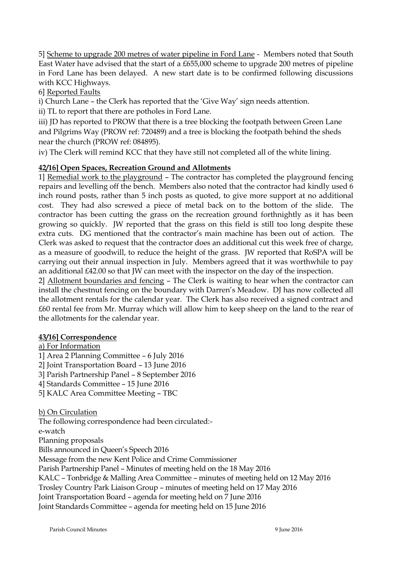5] Scheme to upgrade 200 metres of water pipeline in Ford Lane - Members noted that South East Water have advised that the start of a £655,000 scheme to upgrade 200 metres of pipeline in Ford Lane has been delayed. A new start date is to be confirmed following discussions with KCC Highways.

6] Reported Faults

i) Church Lane – the Clerk has reported that the 'Give Way' sign needs attention.

ii) TL to report that there are potholes in Ford Lane.

iii) JD has reported to PROW that there is a tree blocking the footpath between Green Lane and Pilgrims Way (PROW ref: 720489) and a tree is blocking the footpath behind the sheds near the church (PROW ref: 084895).

iv) The Clerk will remind KCC that they have still not completed all of the white lining.

# **42/16] Open Spaces, Recreation Ground and Allotments**

1] Remedial work to the playground – The contractor has completed the playground fencing repairs and levelling off the bench. Members also noted that the contractor had kindly used 6 inch round posts, rather than 5 inch posts as quoted, to give more support at no additional cost. They had also screwed a piece of metal back on to the bottom of the slide. The contractor has been cutting the grass on the recreation ground forthnightly as it has been growing so quickly. JW reported that the grass on this field is still too long despite these extra cuts. DG mentioned that the contractor's main machine has been out of action. The Clerk was asked to request that the contractor does an additional cut this week free of charge, as a measure of goodwill, to reduce the height of the grass. JW reported that RoSPA will be carrying out their annual inspection in July. Members agreed that it was worthwhile to pay an additional £42.00 so that JW can meet with the inspector on the day of the inspection.

2] Allotment boundaries and fencing – The Clerk is waiting to hear when the contractor can install the chestnut fencing on the boundary with Darren's Meadow. DJ has now collected all the allotment rentals for the calendar year. The Clerk has also received a signed contract and £60 rental fee from Mr. Murray which will allow him to keep sheep on the land to the rear of the allotments for the calendar year.

# **43/16] Correspondence**

a) For Information

1] Area 2 Planning Committee – 6 July 2016

2] Joint Transportation Board – 13 June 2016

3] Parish Partnership Panel – 8 September 2016

4] Standards Committee – 15 June 2016

5] KALC Area Committee Meeting – TBC

# b) On Circulation

The following correspondence had been circulated: e-watch Planning proposals Bills announced in Queen's Speech 2016 Message from the new Kent Police and Crime Commissioner Parish Partnership Panel – Minutes of meeting held on the 18 May 2016 KALC – Tonbridge & Malling Area Committee – minutes of meeting held on 12 May 2016 Trosley Country Park Liaison Group – minutes of meeting held on 17 May 2016 Joint Transportation Board – agenda for meeting held on 7 June 2016 Joint Standards Committee – agenda for meeting held on 15 June 2016